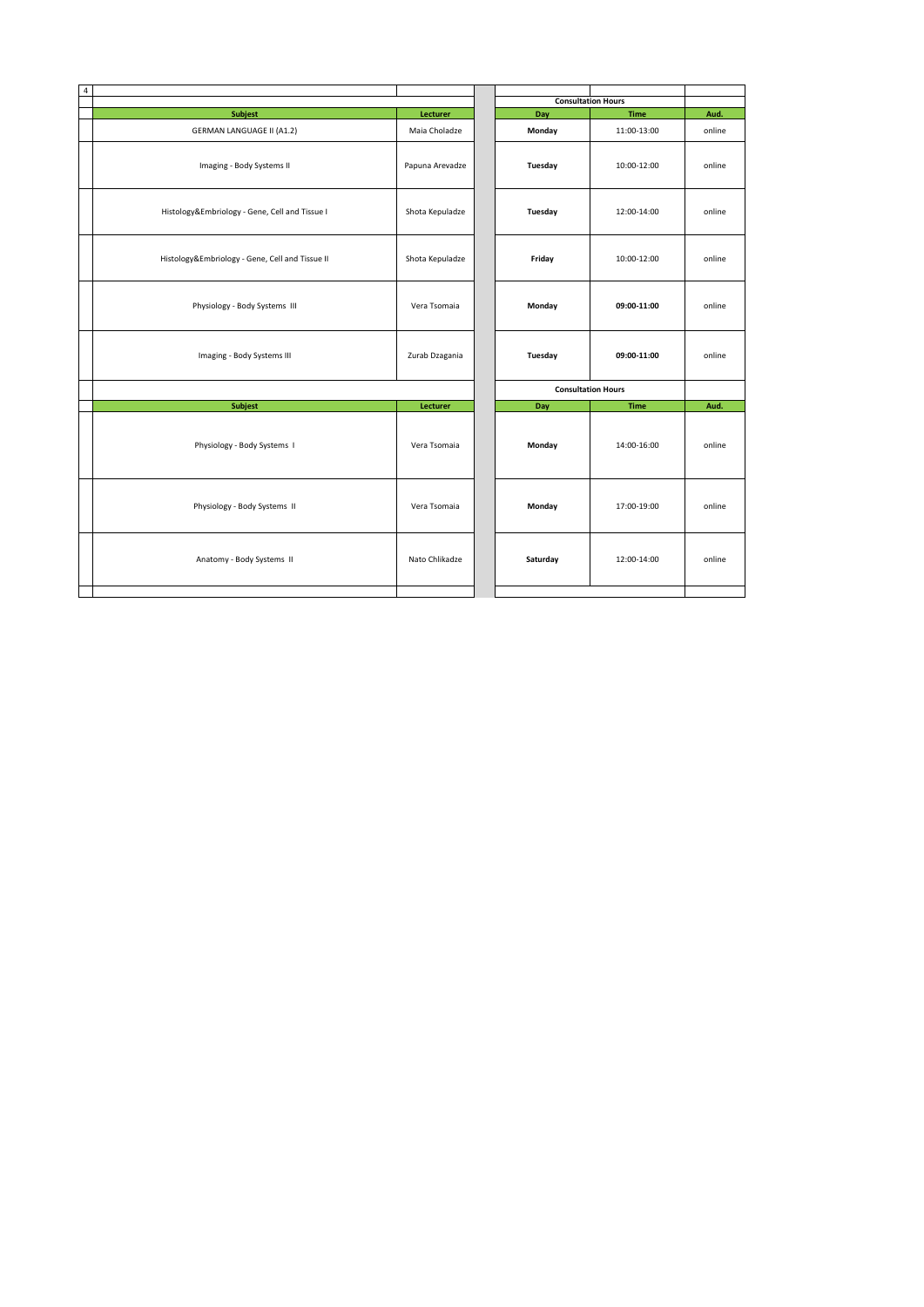| $\overline{4}$ |                                                 |                           |     |                           | <b>Consultation Hours</b> |        |
|----------------|-------------------------------------------------|---------------------------|-----|---------------------------|---------------------------|--------|
|                | <b>Subjest</b>                                  |                           | Day | Aud.                      |                           |        |
|                | <b>GERMAN LANGUAGE II (A1.2)</b>                | Lecturer<br>Maia Choladze |     | Monday                    | Time<br>11:00-13:00       | online |
|                | Imaging - Body Systems II                       | Papuna Arevadze           |     | Tuesday                   | 10:00-12:00               | online |
|                | Histology&Embriology - Gene, Cell and Tissue I  | Shota Kepuladze           |     | Tuesday                   | 12:00-14:00               | online |
|                | Histology&Embriology - Gene, Cell and Tissue II | Shota Kepuladze           |     | Friday                    | 10:00-12:00               | online |
|                | Physiology - Body Systems III                   | Vera Tsomaia              |     | Monday                    | 09:00-11:00               | online |
|                | Imaging - Body Systems III                      | Zurab Dzagania            |     | Tuesday                   | 09:00-11:00               | online |
|                |                                                 |                           |     | <b>Consultation Hours</b> |                           |        |
|                | <b>Subjest</b>                                  | Lecturer                  |     | Day                       | <b>Time</b>               | Aud.   |
|                | Physiology - Body Systems I                     | Vera Tsomaia              |     | Monday                    | 14:00-16:00               | online |
|                | Physiology - Body Systems II                    | Vera Tsomaia              |     | Monday                    | 17:00-19:00               | online |
|                | Anatomy - Body Systems II                       | Nato Chlikadze            |     | Saturday                  | 12:00-14:00               | online |
|                |                                                 |                           |     |                           |                           |        |